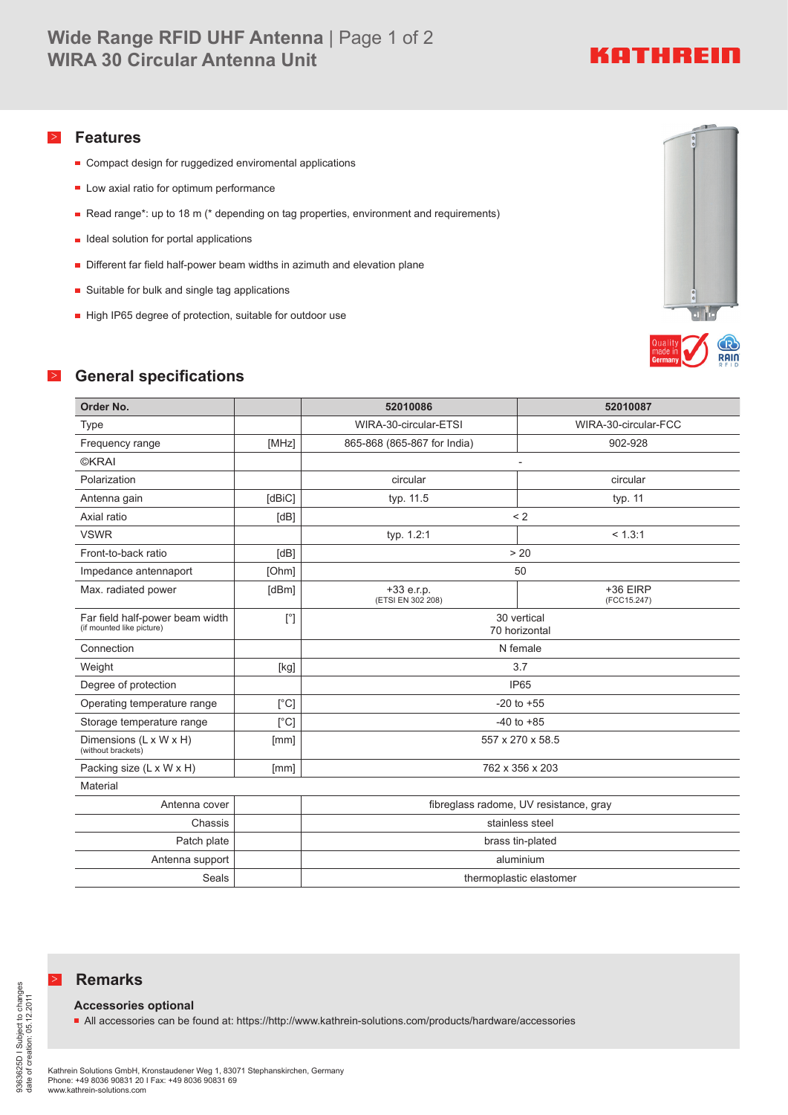# KATHREIN

### > **Features**

- Compact design for ruggedized enviromental applications
- **Low axial ratio for optimum performance**
- Read range\*: up to 18 m (\* depending on tag properties, environment and requirements)
- $\blacksquare$  Ideal solution for portal applications
- Different far field half-power beam widths in azimuth and elevation plane
- **Suitable for bulk and single tag applications**
- High IP65 degree of protection, suitable for outdoor use



### > **General specifications**

| Order No.                                                    |              | 52010086                               | 52010087                |
|--------------------------------------------------------------|--------------|----------------------------------------|-------------------------|
| <b>Type</b>                                                  |              | WIRA-30-circular-ETSI                  | WIRA-30-circular-FCC    |
| Frequency range                                              | [MHz]        | 865-868 (865-867 for India)            | 902-928                 |
| <b>©KRAI</b>                                                 |              |                                        |                         |
| Polarization                                                 |              | circular                               | circular                |
| Antenna gain                                                 | [dBiC]       | typ. 11.5                              | typ. 11                 |
| Axial ratio                                                  | [dB]         | < 2                                    |                         |
| <b>VSWR</b>                                                  |              | typ. 1.2:1                             | < 1.3:1                 |
| Front-to-back ratio                                          | [dB]         | > 20                                   |                         |
| Impedance antennaport                                        | [Ohm]        | 50                                     |                         |
| Max. radiated power                                          | [dBm]        | $+33 e.r.p.$<br>(ETSI EN 302 208)      | +36 EIRP<br>(FCC15.247) |
| Far field half-power beam width<br>(if mounted like picture) | $[^{\circ}]$ | 30 vertical<br>70 horizontal           |                         |
| Connection                                                   |              | N female                               |                         |
| Weight                                                       | [kg]         | 3.7                                    |                         |
| Degree of protection                                         |              | IP <sub>65</sub>                       |                         |
| Operating temperature range                                  | [°C]         | $-20$ to $+55$                         |                         |
| Storage temperature range                                    | [°C]         | $-40$ to $+85$                         |                         |
| Dimensions (L x W x H)<br>(without brackets)                 | [mm]         | 557 x 270 x 58.5                       |                         |
| Packing size (L x W x H)                                     | [mm]         | 762 x 356 x 203                        |                         |
| Material                                                     |              |                                        |                         |
| Antenna cover                                                |              | fibreglass radome, UV resistance, gray |                         |
| Chassis                                                      |              | stainless steel                        |                         |
| Patch plate                                                  |              | brass tin-plated                       |                         |
| Antenna support                                              |              | aluminium                              |                         |
| Seals                                                        |              | thermoplastic elastomer                |                         |

#### > **Remarks**

#### **Accessories optional**

All accessories can be found at: https://http://www.kathrein-solutions.com/products/hardware/accessories